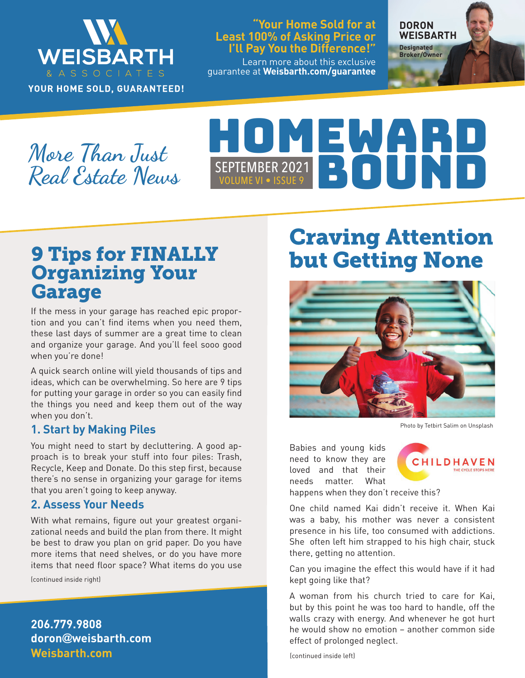

YOUR HOME SOLD, GUARANTEED!

#### **"Your Home Sold for at Least 100% of Asking Price or I'll Pay You the Difference!"**

Learn more about this exclusive guarantee at **Weisbarth.com/guarantee**

**DORON WEISBARTH Designated** 

**Broker/Owner**

**More Than Just Real Estate News**

# SEPTEMBER 2021<br>VOLUME VI • ISSUE 9

## 9 Tips for FINALLY Organizing Your **Garage**

If the mess in your garage has reached epic proportion and you can't find items when you need them, these last days of summer are a great time to clean and organize your garage. And you'll feel sooo good when you're done!

A quick search online will yield thousands of tips and ideas, which can be overwhelming. So here are 9 tips for putting your garage in order so you can easily find the things you need and keep them out of the way when you don't.

#### **1. Start by Making Piles**

You might need to start by decluttering. A good approach is to break your stuff into four piles: Trash, Recycle, Keep and Donate. Do this step first, because there's no sense in organizing your garage for items that you aren't going to keep anyway.

#### **2. Assess Your Needs**

With what remains, figure out your greatest organizational needs and build the plan from there. It might be best to draw you plan on grid paper. Do you have more items that need shelves, or do you have more items that need floor space? What items do you use

(continued inside right)

**Weisbarth.com 206.779.9808 doron@weisbarth.com**

# Craving Attention but Getting None



Photo by Tetbirt Salim on Unsplash

Babies and young kids need to know they are loved and that their needs matter. What



happens when they don't receive this?

One child named Kai didn't receive it. When Kai was a baby, his mother was never a consistent presence in his life, too consumed with addictions. She often left him strapped to his high chair, stuck there, getting no attention.

Can you imagine the effect this would have if it had kept going like that?

A woman from his church tried to care for Kai, but by this point he was too hard to handle, off the walls crazy with energy. And whenever he got hurt he would show no emotion – another common side effect of prolonged neglect.

(continued inside left)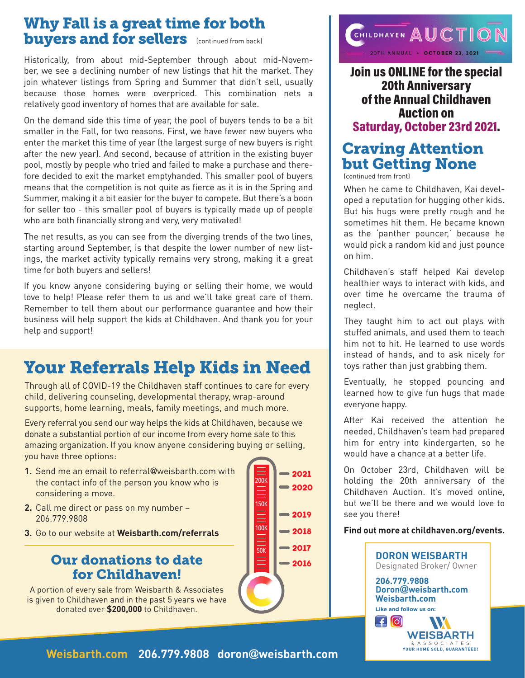## Why Fall is a great time for both buyers and for sellers (continued from back)

Historically, from about mid-September through about mid-November, we see a declining number of new listings that hit the market. They join whatever listings from Spring and Summer that didn't sell, usually because those homes were overpriced. This combination nets a relatively good inventory of homes that are available for sale.

On the demand side this time of year, the pool of buyers tends to be a bit smaller in the Fall, for two reasons. First, we have fewer new buyers who enter the market this time of year (the largest surge of new buyers is right after the new year). And second, because of attrition in the existing buyer pool, mostly by people who tried and failed to make a purchase and therefore decided to exit the market emptyhanded. This smaller pool of buyers means that the competition is not quite as fierce as it is in the Spring and Summer, making it a bit easier for the buyer to compete. But there's a boon for seller too - this smaller pool of buyers is typically made up of people who are both financially strong and very, very motivated!

The net results, as you can see from the diverging trends of the two lines, starting around September, is that despite the lower number of new listings, the market activity typically remains very strong, making it a great time for both buyers and sellers!

If you know anyone considering buying or selling their home, we would love to help! Please refer them to us and we'll take great care of them. Remember to tell them about our performance guarantee and how their business will help support the kids at Childhaven. And thank you for your help and support!

# Your Referrals Help Kids in Need

Through all of COVID-19 the Childhaven staff continues to care for every child, delivering counseling, developmental therapy, wrap-around supports, home learning, meals, family meetings, and much more.

Every referral you send our way helps the kids at Childhaven, because we donate a substantial portion of our income from every home sale to this amazing organization. If you know anyone considering buying or selling, you have three options:

- **1.** Send me an email to referral@weisbarth.com with the contact info of the person you know who is considering a move.
- **2.** Call me direct or pass on my number 206.779.9808
- **3.** Go to our website at **Weisbarth.com/referrals**

### Our donations to date for Childhaven!

A portion of every sale from Weisbarth & Associates is given to Childhaven and in the past 5 years we have donated over **\$200,000** to Childhaven.





Join us ONLINE for the special 20th Anniversary of the Annual Childhaven Auction on Saturday, October 23rd 2021.

## Craving Attention but Getting None

(continued from front)

When he came to Childhaven, Kai developed a reputation for hugging other kids. But his hugs were pretty rough and he sometimes hit them. He became known as the 'panther pouncer,' because he would pick a random kid and just pounce on him.

Childhaven's staff helped Kai develop healthier ways to interact with kids, and over time he overcame the trauma of neglect.

They taught him to act out plays with stuffed animals, and used them to teach him not to hit. He learned to use words instead of hands, and to ask nicely for toys rather than just grabbing them.

Eventually, he stopped pouncing and learned how to give fun hugs that made everyone happy.

After Kai received the attention he needed, Childhaven's team had prepared him for entry into kindergarten, so he would have a chance at a better life.

On October 23rd, Childhaven will be holding the 20th anniversary of the Childhaven Auction. It's moved online, but we'll be there and we would love to see you there!

#### **Find out more at childhaven.org/events.**



**Weisbarth.com 206.779.9808 doron@weisbarth.com**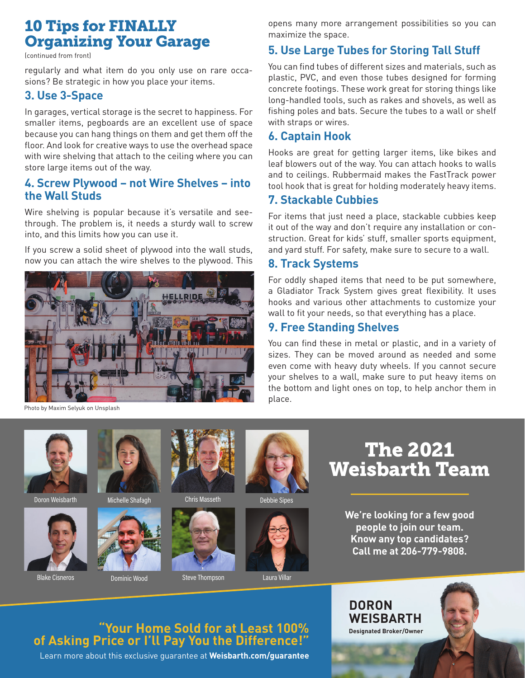## 10 Tips for FINALLY Organizing Your Garage

(continued from front)

regularly and what item do you only use on rare occasions? Be strategic in how you place your items.

#### **3. Use 3-Space**

In garages, vertical storage is the secret to happiness. For smaller items, pegboards are an excellent use of space because you can hang things on them and get them off the floor. And look for creative ways to use the overhead space with wire shelving that attach to the ceiling where you can store large items out of the way.

#### **4. Screw Plywood – not Wire Shelves – into the Wall Studs**

Wire shelving is popular because it's versatile and seethrough. The problem is, it needs a sturdy wall to screw into, and this limits how you can use it.

If you screw a solid sheet of plywood into the wall studs, now you can attach the wire shelves to the plywood. This



Photo by Maxim Selyuk on Unsplash



Doron Weisbarth Michelle Shafagh



Blake Cisneros **Dominic Wood** Steve Thompson Laura Villar













opens many more arrangement possibilities so you can maximize the space.

#### **5. Use Large Tubes for Storing Tall Stuff**

You can find tubes of different sizes and materials, such as plastic, PVC, and even those tubes designed for forming concrete footings. These work great for storing things like long-handled tools, such as rakes and shovels, as well as fishing poles and bats. Secure the tubes to a wall or shelf with straps or wires.

#### **6. Captain Hook**

Hooks are great for getting larger items, like bikes and leaf blowers out of the way. You can attach hooks to walls and to ceilings. Rubbermaid makes the FastTrack power tool hook that is great for holding moderately heavy items.

#### **7. Stackable Cubbies**

For items that just need a place, stackable cubbies keep it out of the way and don't require any installation or construction. Great for kids' stuff, smaller sports equipment, and yard stuff. For safety, make sure to secure to a wall.

#### **8. Track Systems**

For oddly shaped items that need to be put somewhere, a Gladiator Track System gives great flexibility. It uses hooks and various other attachments to customize your wall to fit your needs, so that everything has a place.

#### **9. Free Standing Shelves**

You can find these in metal or plastic, and in a variety of sizes. They can be moved around as needed and some even come with heavy duty wheels. If you cannot secure your shelves to a wall, make sure to put heavy items on the bottom and light ones on top, to help anchor them in place.

> The 2021 Weisbarth Team

> > **We're looking for a few good people to join our team. Know any top candidates? Call me at 206-779-9808.**

## **"Your Home Sold for at Least 100% of Asking Price or I'll Pay You the Difference!"**

Learn more about this exclusive guarantee at **Weisbarth.com/guarantee**